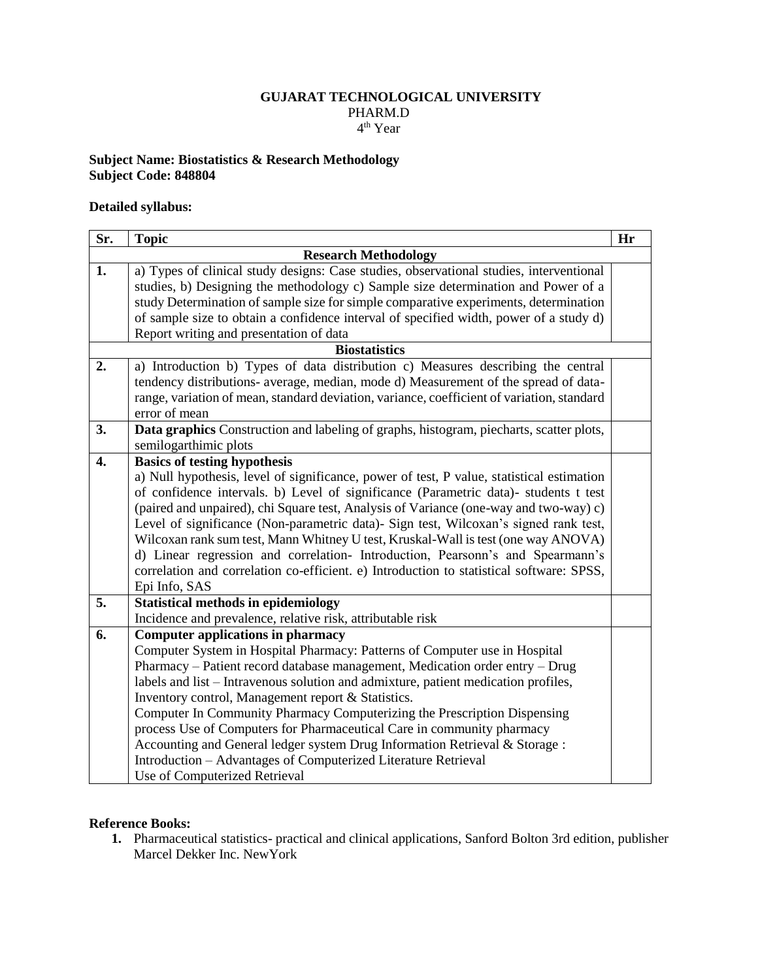## **GUJARAT TECHNOLOGICAL UNIVERSITY** PHARM.D 4 th Year

## **Subject Name: Biostatistics & Research Methodology Subject Code: 848804**

## **Detailed syllabus:**

| Sr.                         | <b>Topic</b>                                                                                                                                                        | Hr |
|-----------------------------|---------------------------------------------------------------------------------------------------------------------------------------------------------------------|----|
| <b>Research Methodology</b> |                                                                                                                                                                     |    |
| 1.                          | a) Types of clinical study designs: Case studies, observational studies, interventional                                                                             |    |
|                             | studies, b) Designing the methodology c) Sample size determination and Power of a                                                                                   |    |
|                             | study Determination of sample size for simple comparative experiments, determination                                                                                |    |
|                             | of sample size to obtain a confidence interval of specified width, power of a study d)                                                                              |    |
|                             | Report writing and presentation of data                                                                                                                             |    |
| <b>Biostatistics</b>        |                                                                                                                                                                     |    |
| 2.                          | a) Introduction b) Types of data distribution c) Measures describing the central                                                                                    |    |
|                             | tendency distributions- average, median, mode d) Measurement of the spread of data-                                                                                 |    |
|                             | range, variation of mean, standard deviation, variance, coefficient of variation, standard                                                                          |    |
|                             | error of mean                                                                                                                                                       |    |
| 3.                          | Data graphics Construction and labeling of graphs, histogram, piecharts, scatter plots,                                                                             |    |
|                             | semilogarthimic plots                                                                                                                                               |    |
| 4.                          | <b>Basics of testing hypothesis</b>                                                                                                                                 |    |
|                             | a) Null hypothesis, level of significance, power of test, P value, statistical estimation                                                                           |    |
|                             | of confidence intervals. b) Level of significance (Parametric data)- students t test                                                                                |    |
|                             | (paired and unpaired), chi Square test, Analysis of Variance (one-way and two-way) c)                                                                               |    |
|                             | Level of significance (Non-parametric data) - Sign test, Wilcoxan's signed rank test,                                                                               |    |
|                             | Wilcoxan rank sum test, Mann Whitney U test, Kruskal-Wall is test (one way ANOVA)<br>d) Linear regression and correlation- Introduction, Pearsonn's and Spearmann's |    |
|                             | correlation and correlation co-efficient. e) Introduction to statistical software: SPSS,                                                                            |    |
|                             | Epi Info, SAS                                                                                                                                                       |    |
| 5.                          | <b>Statistical methods in epidemiology</b>                                                                                                                          |    |
|                             | Incidence and prevalence, relative risk, attributable risk                                                                                                          |    |
| 6.                          | <b>Computer applications in pharmacy</b>                                                                                                                            |    |
|                             | Computer System in Hospital Pharmacy: Patterns of Computer use in Hospital                                                                                          |    |
|                             | Pharmacy - Patient record database management, Medication order entry - Drug                                                                                        |    |
|                             | labels and list – Intravenous solution and admixture, patient medication profiles,                                                                                  |    |
|                             | Inventory control, Management report & Statistics.                                                                                                                  |    |
|                             | Computer In Community Pharmacy Computerizing the Prescription Dispensing                                                                                            |    |
|                             | process Use of Computers for Pharmaceutical Care in community pharmacy                                                                                              |    |
|                             | Accounting and General ledger system Drug Information Retrieval & Storage :                                                                                         |    |
|                             | Introduction - Advantages of Computerized Literature Retrieval                                                                                                      |    |
|                             | Use of Computerized Retrieval                                                                                                                                       |    |

## **Reference Books:**

**1.** Pharmaceutical statistics- practical and clinical applications, Sanford Bolton 3rd edition, publisher Marcel Dekker Inc. NewYork